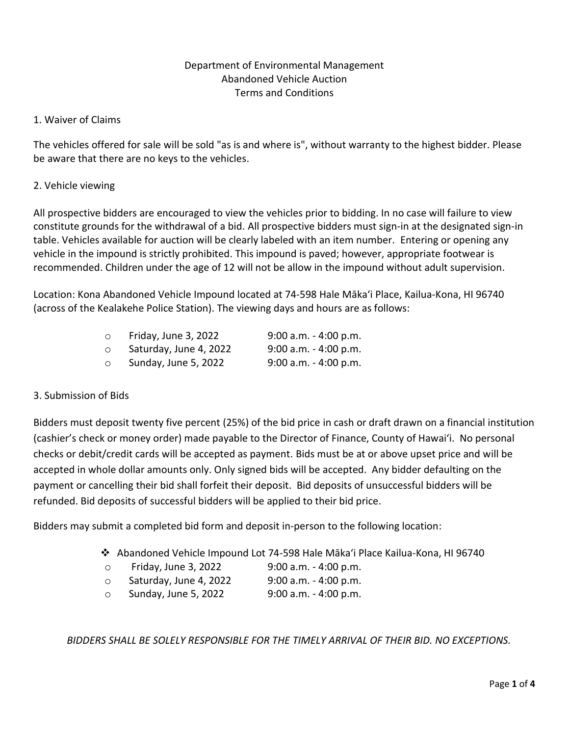# Department of Environmental Management Abandoned Vehicle Auction Terms and Conditions

# 1. Waiver of Claims

The vehicles offered for sale will be sold "as is and where is", without warranty to the highest bidder. Please be aware that there are no keys to the vehicles.

# 2. Vehicle viewing

All prospective bidders are encouraged to view the vehicles prior to bidding. In no case will failure to view constitute grounds for the withdrawal of a bid. All prospective bidders must sign-in at the designated sign-in table. Vehicles available for auction will be clearly labeled with an item number. Entering or opening any vehicle in the impound is strictly prohibited. This impound is paved; however, appropriate footwear is recommended. Children under the age of 12 will not be allow in the impound without adult supervision.

Location: Kona Abandoned Vehicle Impound located at 74-598 Hale Mākaʻi Place, Kailua-Kona, HI 96740 (across of the Kealakehe Police Station). The viewing days and hours are as follows:

| $\circ$ | Friday, June 3, 2022   | $9:00$ a.m. $-4:00$ p.m. |
|---------|------------------------|--------------------------|
| $\circ$ | Saturday, June 4, 2022 | $9:00$ a.m. $-4:00$ p.m. |
| $\circ$ | Sunday, June 5, 2022   | $9:00$ a.m. $-4:00$ p.m. |

## 3. Submission of Bids

Bidders must deposit twenty five percent (25%) of the bid price in cash or draft drawn on a financial institution (cashier's check or money order) made payable to the Director of Finance, County of Hawai'i. No personal checks or debit/credit cards will be accepted as payment. Bids must be at or above upset price and will be accepted in whole dollar amounts only. Only signed bids will be accepted. Any bidder defaulting on the payment or cancelling their bid shall forfeit their deposit. Bid deposits of unsuccessful bidders will be refunded. Bid deposits of successful bidders will be applied to their bid price.

Bidders may submit a completed bid form and deposit in-person to the following location:

- ❖ Abandoned Vehicle Impound Lot 74-598 Hale Mākaʻi Place Kailua-Kona, HI 96740
- o Friday, June 3, 2022 9:00 a.m. 4:00 p.m.
- o Saturday, June 4, 2022 9:00 a.m. 4:00 p.m.
- o Sunday, June 5, 2022 9:00 a.m. 4:00 p.m.

*BIDDERS SHALL BE SOLELY RESPONSIBLE FOR THE TIMELY ARRIVAL OF THEIR BID. NO EXCEPTIONS.*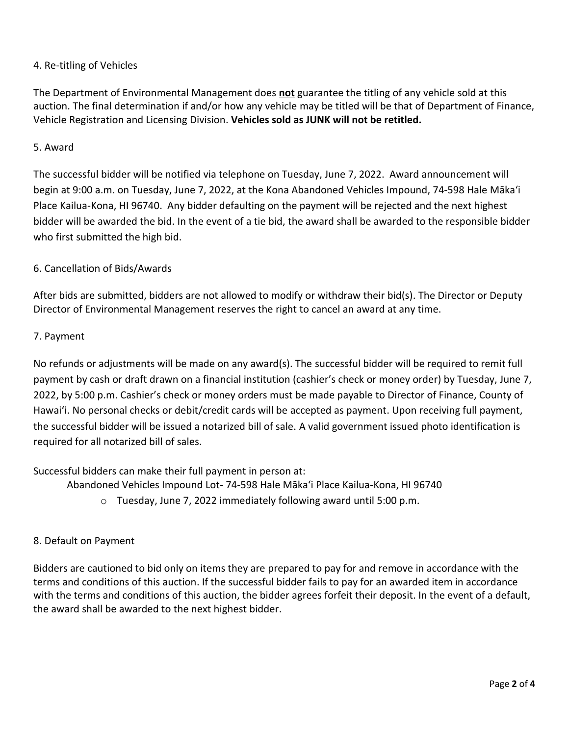# 4. Re-titling of Vehicles

The Department of Environmental Management does **not** guarantee the titling of any vehicle sold at this auction. The final determination if and/or how any vehicle may be titled will be that of Department of Finance, Vehicle Registration and Licensing Division. **Vehicles sold as JUNK will not be retitled.**

# 5. Award

The successful bidder will be notified via telephone on Tuesday, June 7, 2022. Award announcement will begin at 9:00 a.m. on Tuesday, June 7, 2022, at the Kona Abandoned Vehicles Impound, 74-598 Hale Mākaʻi Place Kailua-Kona, HI 96740. Any bidder defaulting on the payment will be rejected and the next highest bidder will be awarded the bid. In the event of a tie bid, the award shall be awarded to the responsible bidder who first submitted the high bid.

# 6. Cancellation of Bids/Awards

After bids are submitted, bidders are not allowed to modify or withdraw their bid(s). The Director or Deputy Director of Environmental Management reserves the right to cancel an award at any time.

# 7. Payment

No refunds or adjustments will be made on any award(s). The successful bidder will be required to remit full payment by cash or draft drawn on a financial institution (cashier's check or money order) by Tuesday, June 7, 2022, by 5:00 p.m. Cashier's check or money orders must be made payable to Director of Finance, County of Hawaiʻi. No personal checks or debit/credit cards will be accepted as payment. Upon receiving full payment, the successful bidder will be issued a notarized bill of sale. A valid government issued photo identification is required for all notarized bill of sales.

Successful bidders can make their full payment in person at:

Abandoned Vehicles Impound Lot- 74-598 Hale Mākaʻi Place Kailua-Kona, HI 96740

o Tuesday, June 7, 2022 immediately following award until 5:00 p.m.

## 8. Default on Payment

Bidders are cautioned to bid only on items they are prepared to pay for and remove in accordance with the terms and conditions of this auction. If the successful bidder fails to pay for an awarded item in accordance with the terms and conditions of this auction, the bidder agrees forfeit their deposit. In the event of a default, the award shall be awarded to the next highest bidder.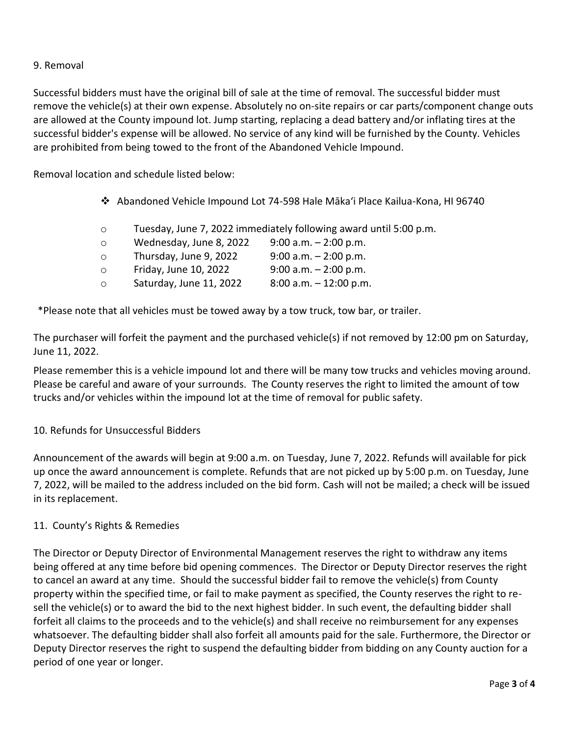# 9. Removal

Successful bidders must have the original bill of sale at the time of removal. The successful bidder must remove the vehicle(s) at their own expense. Absolutely no on-site repairs or car parts/component change outs are allowed at the County impound lot. Jump starting, replacing a dead battery and/or inflating tires at the successful bidder's expense will be allowed. No service of any kind will be furnished by the County. Vehicles are prohibited from being towed to the front of the Abandoned Vehicle Impound.

Removal location and schedule listed below:

- ❖ Abandoned Vehicle Impound Lot 74-598 Hale Mākaʻi Place Kailua-Kona, HI 96740
- o Tuesday, June 7, 2022 immediately following award until 5:00 p.m.
- o Wednesday, June 8, 2022 9:00 a.m. 2:00 p.m. o Thursday, June 9, 2022 9:00 a.m. – 2:00 p.m. o Friday, June 10, 2022 9:00 a.m. – 2:00 p.m. o Saturday, June 11, 2022 8:00 a.m. – 12:00 p.m.

\*Please note that all vehicles must be towed away by a tow truck, tow bar, or trailer.

The purchaser will forfeit the payment and the purchased vehicle(s) if not removed by 12:00 pm on Saturday, June 11, 2022.

Please remember this is a vehicle impound lot and there will be many tow trucks and vehicles moving around. Please be careful and aware of your surrounds. The County reserves the right to limited the amount of tow trucks and/or vehicles within the impound lot at the time of removal for public safety.

## 10. Refunds for Unsuccessful Bidders

Announcement of the awards will begin at 9:00 a.m. on Tuesday, June 7, 2022. Refunds will available for pick up once the award announcement is complete. Refunds that are not picked up by 5:00 p.m. on Tuesday, June 7, 2022, will be mailed to the address included on the bid form. Cash will not be mailed; a check will be issued in its replacement.

## 11. County's Rights & Remedies

The Director or Deputy Director of Environmental Management reserves the right to withdraw any items being offered at any time before bid opening commences. The Director or Deputy Director reserves the right to cancel an award at any time. Should the successful bidder fail to remove the vehicle(s) from County property within the specified time, or fail to make payment as specified, the County reserves the right to resell the vehicle(s) or to award the bid to the next highest bidder. In such event, the defaulting bidder shall forfeit all claims to the proceeds and to the vehicle(s) and shall receive no reimbursement for any expenses whatsoever. The defaulting bidder shall also forfeit all amounts paid for the sale. Furthermore, the Director or Deputy Director reserves the right to suspend the defaulting bidder from bidding on any County auction for a period of one year or longer.